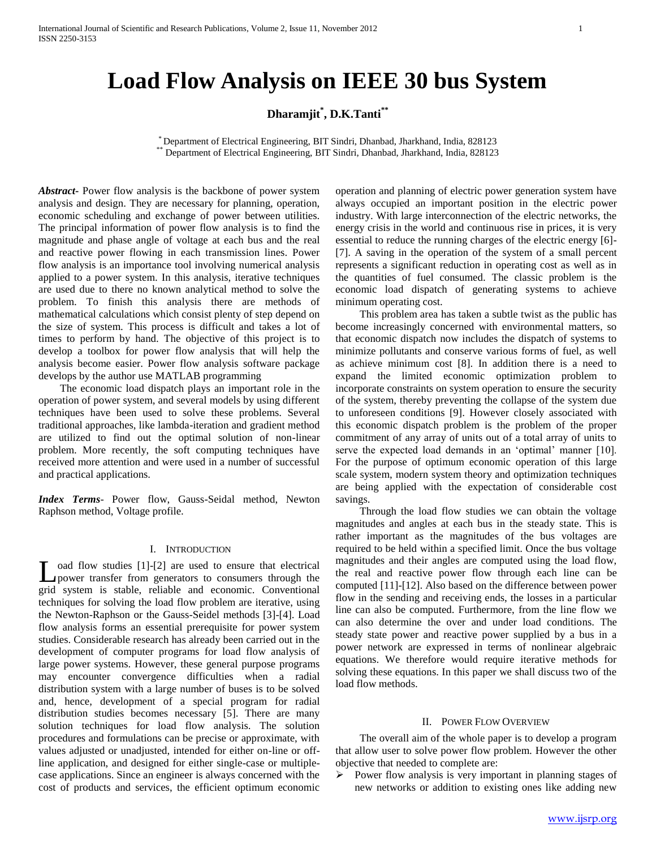# **Load Flow Analysis on IEEE 30 bus System**

# **Dharamjit\* , D.K.Tanti\*\***

\* Department of Electrical Engineering, BIT Sindri, Dhanbad, Jharkhand, India, 828123 \*\* Department of Electrical Engineering, BIT Sindri, Dhanbad, Jharkhand, India, 828123

*Abstract***-** Power flow analysis is the backbone of power system analysis and design. They are necessary for planning, operation, economic scheduling and exchange of power between utilities. The principal information of power flow analysis is to find the magnitude and phase angle of voltage at each bus and the real and reactive power flowing in each transmission lines. Power flow analysis is an importance tool involving numerical analysis applied to a power system. In this analysis, iterative techniques are used due to there no known analytical method to solve the problem. To finish this analysis there are methods of mathematical calculations which consist plenty of step depend on the size of system. This process is difficult and takes a lot of times to perform by hand. The objective of this project is to develop a toolbox for power flow analysis that will help the analysis become easier. Power flow analysis software package develops by the author use MATLAB programming

 The economic load dispatch plays an important role in the operation of power system, and several models by using different techniques have been used to solve these problems. Several traditional approaches, like lambda-iteration and gradient method are utilized to find out the optimal solution of non-linear problem. More recently, the soft computing techniques have received more attention and were used in a number of successful and practical applications.

*Index Terms*- Power flow, Gauss-Seidal method, Newton Raphson method, Voltage profile.

# I. INTRODUCTION

oad flow studies [1]-[2] are used to ensure that electrical power transfer from generators to consumers through the Load flow studies [1]-[2] are used to ensure that electrical<br>power transfer from generators to consumers through the<br>grid system is stable, reliable and economic. Conventional techniques for solving the load flow problem are iterative, using the Newton-Raphson or the Gauss-Seidel methods [3]-[4]. Load flow analysis forms an essential prerequisite for power system studies. Considerable research has already been carried out in the development of computer programs for load flow analysis of large power systems. However, these general purpose programs may encounter convergence difficulties when a radial distribution system with a large number of buses is to be solved and, hence, development of a special program for radial distribution studies becomes necessary [5]. There are many solution techniques for load flow analysis. The solution procedures and formulations can be precise or approximate, with values adjusted or unadjusted, intended for either on-line or offline application, and designed for either single-case or multiplecase applications. Since an engineer is always concerned with the cost of products and services, the efficient optimum economic

operation and planning of electric power generation system have always occupied an important position in the electric power industry. With large interconnection of the electric networks, the energy crisis in the world and continuous rise in prices, it is very essential to reduce the running charges of the electric energy [6]- [7]. A saving in the operation of the system of a small percent represents a significant reduction in operating cost as well as in the quantities of fuel consumed. The classic problem is the economic load dispatch of generating systems to achieve minimum operating cost.

 This problem area has taken a subtle twist as the public has become increasingly concerned with environmental matters, so that economic dispatch now includes the dispatch of systems to minimize pollutants and conserve various forms of fuel, as well as achieve minimum cost [8]. In addition there is a need to expand the limited economic optimization problem to incorporate constraints on system operation to ensure the security of the system, thereby preventing the collapse of the system due to unforeseen conditions [9]. However closely associated with this economic dispatch problem is the problem of the proper commitment of any array of units out of a total array of units to serve the expected load demands in an 'optimal' manner [10]. For the purpose of optimum economic operation of this large scale system, modern system theory and optimization techniques are being applied with the expectation of considerable cost savings.

 Through the load flow studies we can obtain the voltage magnitudes and angles at each bus in the steady state. This is rather important as the magnitudes of the bus voltages are required to be held within a specified limit. Once the bus voltage magnitudes and their angles are computed using the load flow, the real and reactive power flow through each line can be computed [11]-[12]. Also based on the difference between power flow in the sending and receiving ends, the losses in a particular line can also be computed. Furthermore, from the line flow we can also determine the over and under load conditions. The steady state power and reactive power supplied by a bus in a power network are expressed in terms of nonlinear algebraic equations. We therefore would require iterative methods for solving these equations. In this paper we shall discuss two of the load flow methods.

#### II. POWER FLOW OVERVIEW

 The overall aim of the whole paper is to develop a program that allow user to solve power flow problem. However the other objective that needed to complete are:

 $\triangleright$  Power flow analysis is very important in planning stages of new networks or addition to existing ones like adding new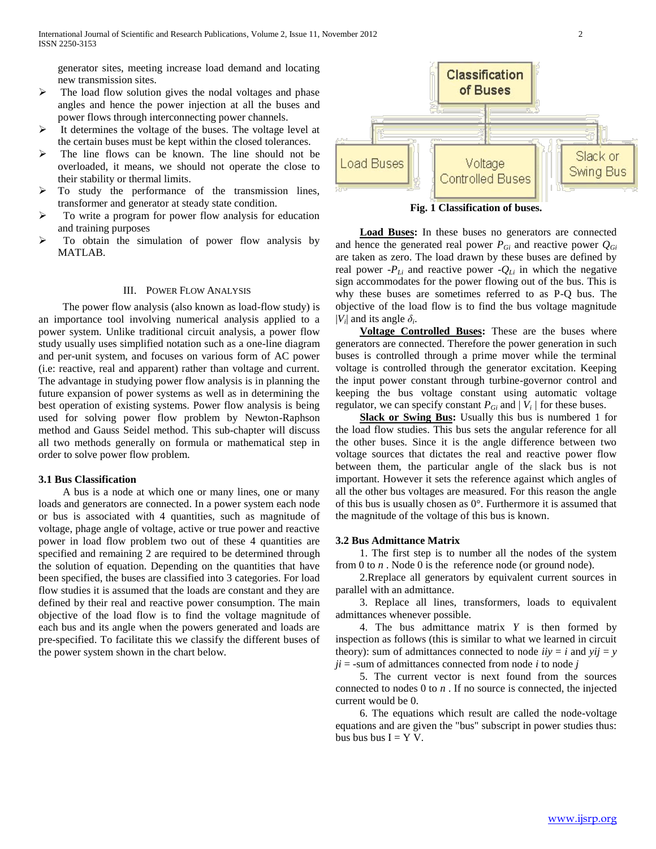generator sites, meeting increase load demand and locating new transmission sites.

- $\triangleright$  The load flow solution gives the nodal voltages and phase angles and hence the power injection at all the buses and power flows through interconnecting power channels.
- It determines the voltage of the buses. The voltage level at the certain buses must be kept within the closed tolerances.
- $\triangleright$  The line flows can be known. The line should not be overloaded, it means, we should not operate the close to their stability or thermal limits.
- To study the performance of the transmission lines, transformer and generator at steady state condition.
- $\triangleright$  To write a program for power flow analysis for education and training purposes
- $\triangleright$  To obtain the simulation of power flow analysis by MATLAB.

## III. POWER FLOW ANALYSIS

 The power flow analysis (also known as load-flow study) is an importance tool involving numerical analysis applied to a power system. Unlike traditional circuit analysis, a power flow study usually uses simplified notation such as a one-line diagram and per-unit system, and focuses on various form of AC power (i.e: reactive, real and apparent) rather than voltage and current. The advantage in studying power flow analysis is in planning the future expansion of power systems as well as in determining the best operation of existing systems. Power flow analysis is being used for solving power flow problem by Newton-Raphson method and Gauss Seidel method. This sub-chapter will discuss all two methods generally on formula or mathematical step in order to solve power flow problem.

## **3.1 Bus Classification**

 A bus is a node at which one or many lines, one or many loads and generators are connected. In a power system each node or bus is associated with 4 quantities, such as magnitude of voltage, phage angle of voltage, active or true power and reactive power in load flow problem two out of these 4 quantities are specified and remaining 2 are required to be determined through the solution of equation. Depending on the quantities that have been specified, the buses are classified into 3 categories. For load flow studies it is assumed that the loads are constant and they are defined by their real and reactive power consumption. The main objective of the load flow is to find the voltage magnitude of each bus and its angle when the powers generated and loads are pre-specified. To facilitate this we classify the different buses of the power system shown in the chart below.

Classification of Buses Slack or **Load Buses** Voltage Swing Bus **Controlled Buses** 

**Fig. 1 Classification of buses.**

 **Load Buses:** In these buses no generators are connected and hence the generated real power  $P_{Gi}$  and reactive power  $Q_{Gi}$ are taken as zero. The load drawn by these buses are defined by real power *-P*<sub>*Li*</sub> and reactive power *-Q<sub>Li</sub>* in which the negative sign accommodates for the power flowing out of the bus. This is why these buses are sometimes referred to as P-Q bus. The objective of the load flow is to find the bus voltage magnitude  $|V_i|$  and its angle  $\delta_i$ .

 **Voltage Controlled Buses:** These are the buses where generators are connected. Therefore the power generation in such buses is controlled through a prime mover while the terminal voltage is controlled through the generator excitation. Keeping the input power constant through turbine-governor control and keeping the bus voltage constant using automatic voltage regulator, we can specify constant  $P_{Gi}$  and  $|V_i|$  for these buses.

 **Slack or Swing Bus:** Usually this bus is numbered 1 for the load flow studies. This bus sets the angular reference for all the other buses. Since it is the angle difference between two voltage sources that dictates the real and reactive power flow between them, the particular angle of the slack bus is not important. However it sets the reference against which angles of all the other bus voltages are measured. For this reason the angle of this bus is usually chosen as 0°. Furthermore it is assumed that the magnitude of the voltage of this bus is known.

#### **3.2 Bus Admittance Matrix**

 1. The first step is to number all the nodes of the system from 0 to *n* . Node 0 is the reference node (or ground node).

 2.Rreplace all generators by equivalent current sources in parallel with an admittance.

 3. Replace all lines, transformers, loads to equivalent admittances whenever possible.

 4. The bus admittance matrix *Y* is then formed by inspection as follows (this is similar to what we learned in circuit theory): sum of admittances connected to node  $iiy = i$  and  $yij = y$  $ji =$ -sum of admittances connected from node *i* to node *j* 

 5. The current vector is next found from the sources connected to nodes 0 to *n* . If no source is connected, the injected current would be 0.

 6. The equations which result are called the node-voltage equations and are given the "bus" subscript in power studies thus: bus bus  $I = Y V$ .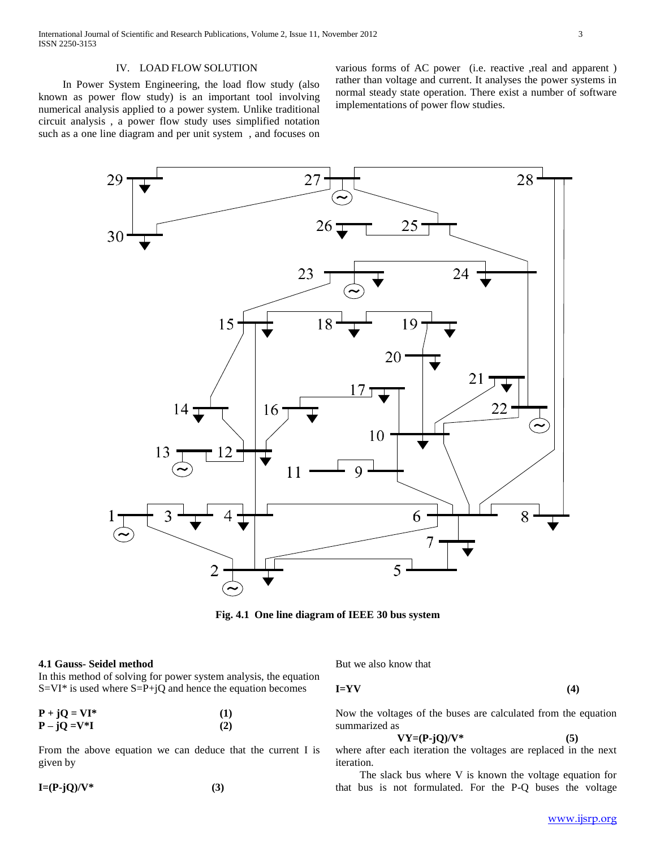# IV. LOAD FLOW SOLUTION

 In Power System Engineering, the load flow study (also known as power flow study) is an important tool involving numerical analysis applied to a power system. Unlike traditional circuit analysis , a power flow study uses simplified notation such as a one line diagram and per unit system , and focuses on various forms of AC power (i.e. reactive ,real and apparent ) rather than voltage and current. It analyses the power systems in normal steady state operation. There exist a number of software implementations of power flow studies.



**Fig. 4.1 One line diagram of IEEE 30 bus system**

#### **4.1 Gauss- Seidel method**

In this method of solving for power system analysis, the equation  $S=VI^*$  is used where  $S=P+jQ$  and hence the equation becomes

| $P + jQ = VI^*$ | (1) |
|-----------------|-----|
| $P - jQ = V^*I$ | (2) |

From the above equation we can deduce that the current I is given by

$$
I=(P-jQ)/V^* \tag{3}
$$

But we also know that

**I=YV (4)**

Now the voltages of the buses are calculated from the equation summarized as

$$
VY = (P - jQ)/V^* \tag{5}
$$

where after each iteration the voltages are replaced in the next iteration.

 The slack bus where V is known the voltage equation for that bus is not formulated. For the P-Q buses the voltage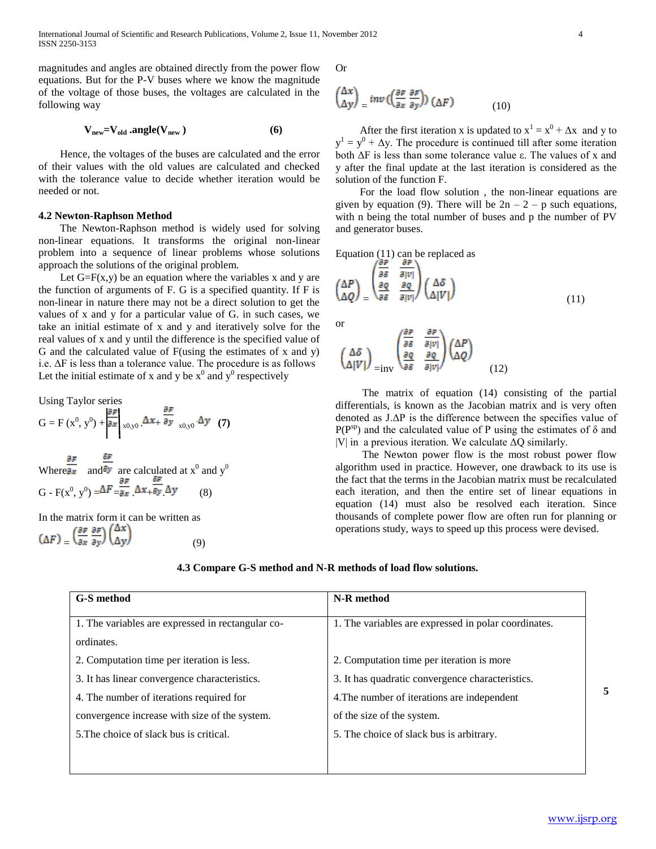magnitudes and angles are obtained directly from the power flow equations. But for the P-V buses where we know the magnitude of the voltage of those buses, the voltages are calculated in the following way

$$
V_{new} = V_{old} \cdot angle(V_{new})
$$
 (6)

 Hence, the voltages of the buses are calculated and the error of their values with the old values are calculated and checked with the tolerance value to decide whether iteration would be needed or not.

# **4.2 Newton-Raphson Method**

 The Newton-Raphson method is widely used for solving non-linear equations. It transforms the original non-linear problem into a sequence of linear problems whose solutions approach the solutions of the original problem.

Let  $G = F(x, y)$  be an equation where the variables x and y are the function of arguments of F. G is a specified quantity. If F is non-linear in nature there may not be a direct solution to get the values of x and y for a particular value of G. in such cases, we take an initial estimate of x and y and iteratively solve for the real values of x and y until the difference is the specified value of G and the calculated value of F(using the estimates of x and y) i.e. ΔF is less than a tolerance value. The procedure is as follows Let the initial estimate of x and y be  $x^0$  and  $y^0$  respectively

Using Taylor series

$$
G = F(x^0, y^0) + \frac{\partial F}{\partial x}\bigg|_{x0, y0} \Delta x_+ \frac{\partial F}{\partial y}\bigg|_{x0, y0} \Delta y \quad (7)
$$

Where  $\partial x$  and  $\partial y$  are calculated at  $x^0$  and  $y^0$  $G - F(x^0, y^0) = \Delta F = \partial x \Delta x + \partial y \Delta y$  (8)

In the matrix form it can be written as  $(\Delta F) = \left(\frac{\partial F}{\partial x} \frac{\partial F}{\partial y}\right) \begin{pmatrix} \Delta x \\ \Delta y \end{pmatrix}$  (9) Or

$$
\begin{pmatrix} \Delta x \\ \Delta y \end{pmatrix} = inv \begin{pmatrix} \frac{\partial F}{\partial x} & \frac{\partial F}{\partial y} \end{pmatrix} \begin{pmatrix} \Delta F \end{pmatrix} \tag{10}
$$

After the first iteration x is updated to  $x^1 = x^0 + \Delta x$  and y to  $y^1 = y^0 + \Delta y$ . The procedure is continued till after some iteration both ΔF is less than some tolerance value ε. The values of x and y after the final update at the last iteration is considered as the solution of the function F.

 For the load flow solution , the non-linear equations are given by equation (9). There will be  $2n - 2 - p$  such equations, with n being the total number of buses and p the number of PV and generator buses.

Equation (11) can be replaced as

$$
\begin{pmatrix}\n\Delta P \\
\Delta Q\n\end{pmatrix} = \begin{pmatrix}\n\frac{\partial F}{\partial \delta} & \frac{\partial F}{\partial |V|} \\
\frac{\partial Q}{\partial \delta} & \frac{\partial Q}{\partial |V|}\n\end{pmatrix} \begin{pmatrix}\n\Delta \delta \\
\Delta |V|\n\end{pmatrix}
$$
\n(11)

or

$$
\begin{pmatrix}\n\Delta\delta \\
\Delta|V|\n\end{pmatrix}_{=1\text{nv}} \begin{pmatrix}\n\frac{\partial P}{\partial \delta} & \frac{\partial P}{\partial |V|} \\
\frac{\partial Q}{\partial \delta} & \frac{\partial Q}{\partial |V|}\n\end{pmatrix}\n\begin{pmatrix}\n\Delta P \\
\Delta Q\n\end{pmatrix}
$$
\n(12)

 The matrix of equation (14) consisting of the partial differentials, is known as the Jacobian matrix and is very often denoted as J.ΔP is the difference between the specifies value of  $P(P^{sp})$  and the calculated value of P using the estimates of  $\delta$  and |V| in a previous iteration. We calculate  $\Delta Q$  similarly.

 The Newton power flow is the most robust power flow algorithm used in practice. However, one drawback to its use is the fact that the terms in the Jacobian matrix must be recalculated each iteration, and then the entire set of linear equations in equation (14) must also be resolved each iteration. Since thousands of complete power flow are often run for planning or operations study, ways to speed up this process were devised.

**4.3 Compare G-S method and N-R methods of load flow solutions.**

| <b>G-S</b> method                                 | N-R method                                           |
|---------------------------------------------------|------------------------------------------------------|
| 1. The variables are expressed in rectangular co- | 1. The variables are expressed in polar coordinates. |
| ordinates.                                        |                                                      |
| 2. Computation time per iteration is less.        | 2. Computation time per iteration is more            |
| 3. It has linear convergence characteristics.     | 3. It has quadratic convergence characteristics.     |
| 4. The number of iterations required for          | 4. The number of iterations are independent          |
| convergence increase with size of the system.     | of the size of the system.                           |
| 5. The choice of slack bus is critical.           | 5. The choice of slack bus is arbitrary.             |
|                                                   |                                                      |
|                                                   |                                                      |

**5**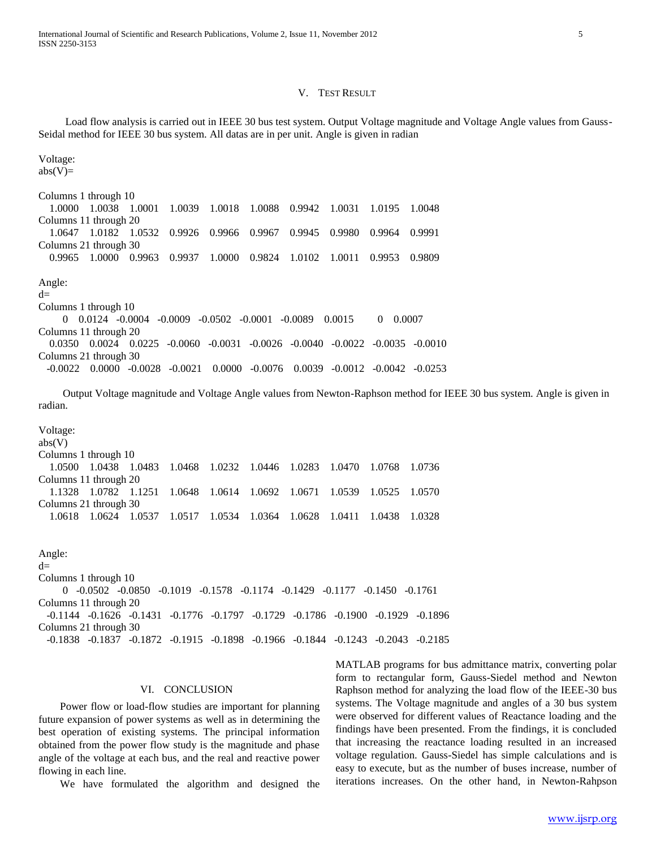#### V. TEST RESULT

 Load flow analysis is carried out in IEEE 30 bus test system. Output Voltage magnitude and Voltage Angle values from Gauss-Seidal method for IEEE 30 bus system. All datas are in per unit. Angle is given in radian

Voltage:  $abs(V)=$ Columns 1 through 10 1.0000 1.0038 1.0001 1.0039 1.0018 1.0088 0.9942 1.0031 1.0195 1.0048 Columns 11 through 20 1.0647 1.0182 1.0532 0.9926 0.9966 0.9967 0.9945 0.9980 0.9964 0.9991 Columns 21 through 30 0.9965 1.0000 0.9963 0.9937 1.0000 0.9824 1.0102 1.0011 0.9953 0.9809 Angle:  $d=$ Columns 1 through 10 0 0.0124 -0.0004 -0.0009 -0.0502 -0.0001 -0.0089 0.0015 0 0.0007 Columns 11 through 20 0.0350 0.0024 0.0225 -0.0060 -0.0031 -0.0026 -0.0040 -0.0022 -0.0035 -0.0010 Columns 21 through 30 -0.0022 0.0000 -0.0028 -0.0021 0.0000 -0.0076 0.0039 -0.0012 -0.0042 -0.0253

 Output Voltage magnitude and Voltage Angle values from Newton-Raphson method for IEEE 30 bus system. Angle is given in radian.

Voltage: abs(V) Columns 1 through 10 1.0500 1.0438 1.0483 1.0468 1.0232 1.0446 1.0283 1.0470 1.0768 1.0736 Columns 11 through 20 1.1328 1.0782 1.1251 1.0648 1.0614 1.0692 1.0671 1.0539 1.0525 1.0570 Columns 21 through 30 1.0618 1.0624 1.0537 1.0517 1.0534 1.0364 1.0628 1.0411 1.0438 1.0328

Angle:  $d=$ Columns 1 through 10 0 -0.0502 -0.0850 -0.1019 -0.1578 -0.1174 -0.1429 -0.1177 -0.1450 -0.1761 Columns 11 through 20 -0.1144 -0.1626 -0.1431 -0.1776 -0.1797 -0.1729 -0.1786 -0.1900 -0.1929 -0.1896 Columns 21 through 30 -0.1838 -0.1837 -0.1872 -0.1915 -0.1898 -0.1966 -0.1844 -0.1243 -0.2043 -0.2185

# VI. CONCLUSION

 Power flow or load-flow studies are important for planning future expansion of power systems as well as in determining the best operation of existing systems. The principal information obtained from the power flow study is the magnitude and phase angle of the voltage at each bus, and the real and reactive power flowing in each line.

We have formulated the algorithm and designed the

MATLAB programs for bus admittance matrix, converting polar form to rectangular form, Gauss-Siedel method and Newton Raphson method for analyzing the load flow of the IEEE-30 bus systems. The Voltage magnitude and angles of a 30 bus system were observed for different values of Reactance loading and the findings have been presented. From the findings, it is concluded that increasing the reactance loading resulted in an increased voltage regulation. Gauss-Siedel has simple calculations and is easy to execute, but as the number of buses increase, number of iterations increases. On the other hand, in Newton-Rahpson